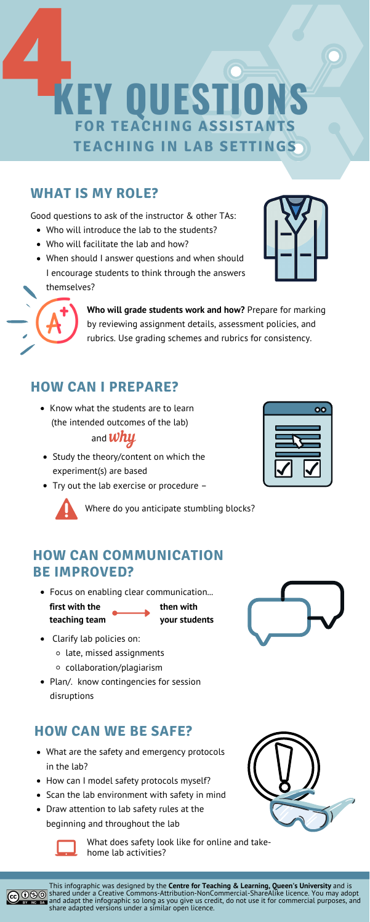# **4KEY QUESTIONS FOR TEACHING ASSISTANT TEACHING IN LAB SETTINGS**

- What are the safety and emergency protocols in the lab?
- How can I model safety protocols myself?
- Scan the lab environment with safety in mind
- Draw attention to lab safety rules at the beginning and throughout the lab







- Who will introduce the lab to the students?
- Who will facilitate the lab and how?
- When should I answer questions and when should I encourage students to think through the answers themselves?





- Study the theory/content on which the experiment(s) are based
- Try out the lab exercise or procedure –



• Know what the students are to learn (the intended outcomes of the lab)

## and  $\n *why*\n$

Good questions to ask of the instructor & other TAs:

- Clarify lab policies on:
	- $\circ$  late, missed assignments
	- collaboration/plagiarism
- Plan/. know contingencies for session disruptions

## **HOW CAN I PREPARE?**

### **HOW CAN COMMUNICATION BE IMPROVED?**

## **HOW CAN WE BE SAFE?**

## **WHAT IS MY ROLE?**

**Who will grade students work and how?** Prepare for marking by reviewing assignment details, assessment policies, and rubrics. Use grading schemes and rubrics for consistency.

Focus on enabling clear communication...

**first with the teaching team**

**then with your students**

Where do you anticipate stumbling blocks?



What does safety look like for online and takehome lab activities?



This infographic was designed by the **Centre for Teaching & Learning, Queen's University** and is **①SO** shared under a Creative Commons-Attribution-NonCommercial-ShareAlike licence. You may adopt and adapt the infographic so long as you give us credit, do not use it for commercial purposes, and share adapted versions under a similar open licence.